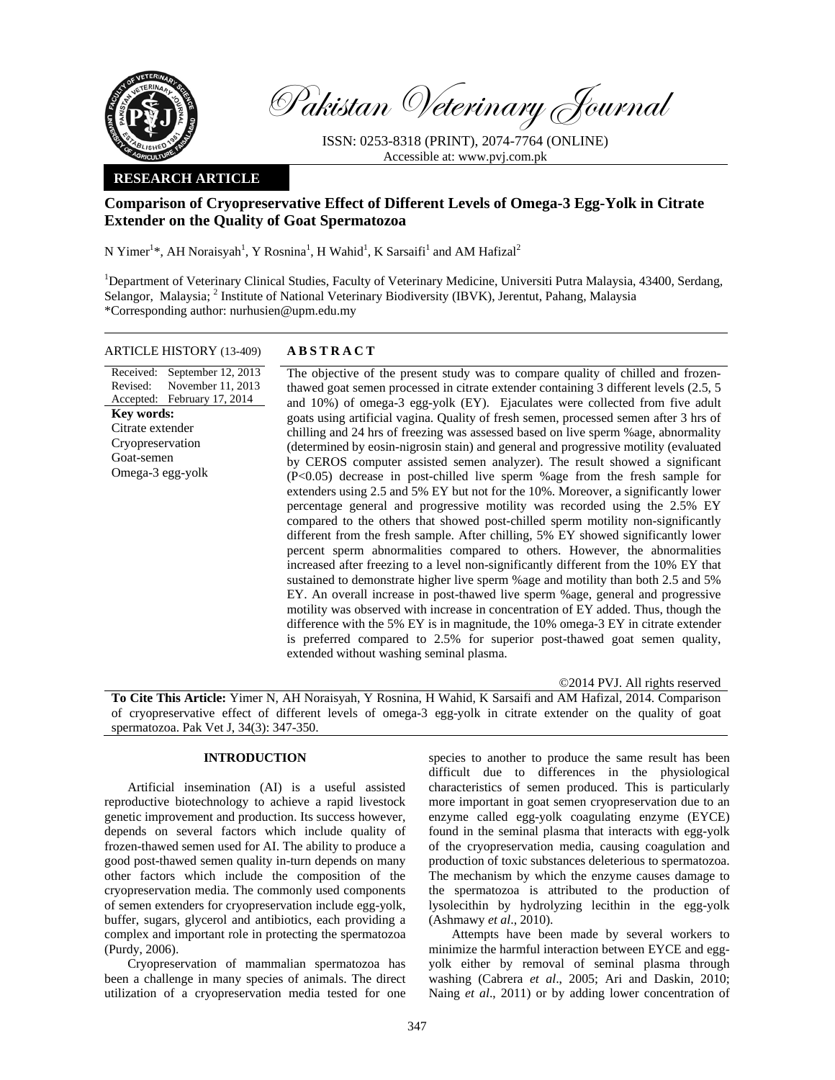

Pakistan Veterinary Journal

ISSN: 0253-8318 (PRINT), 2074-7764 (ONLINE) Accessible at: www.pvj.com.pk

### **RESEARCH ARTICLE**

# **Comparison of Cryopreservative Effect of Different Levels of Omega-3 Egg-Yolk in Citrate Extender on the Quality of Goat Spermatozoa**

N Yimer<sup>1\*</sup>, AH Noraisyah<sup>1</sup>, Y Rosnina<sup>1</sup>, H Wahid<sup>1</sup>, K Sarsaifi<sup>1</sup> and AM Hafizal<sup>2</sup>

<sup>1</sup>Department of Veterinary Clinical Studies, Faculty of Veterinary Medicine, Universiti Putra Malaysia, 43400, Serdang, Selangor, Malaysia; <sup>2</sup> Institute of National Veterinary Biodiversity (IBVK), Jerentut, Pahang, Malaysia \*Corresponding author: nurhusien@upm.edu.my

# ARTICLE HISTORY (13-409) **ABSTRACT**

Received: September 12, 2013 Revised: Accepted: February 17, 2014 November 11, 2013 **Key words:**  Citrate extender Cryopreservation Goat-semen Omega-3 egg-yolk

 The objective of the present study was to compare quality of chilled and frozenthawed goat semen processed in citrate extender containing 3 different levels (2.5, 5 and 10%) of omega-3 egg-yolk (EY). Ejaculates were collected from five adult goats using artificial vagina. Quality of fresh semen, processed semen after 3 hrs of chilling and 24 hrs of freezing was assessed based on live sperm %age, abnormality (determined by eosin-nigrosin stain) and general and progressive motility (evaluated by CEROS computer assisted semen analyzer). The result showed a significant (P<0.05) decrease in post-chilled live sperm %age from the fresh sample for extenders using 2.5 and 5% EY but not for the 10%. Moreover, a significantly lower percentage general and progressive motility was recorded using the 2.5% EY compared to the others that showed post-chilled sperm motility non-significantly different from the fresh sample. After chilling, 5% EY showed significantly lower percent sperm abnormalities compared to others. However, the abnormalities increased after freezing to a level non-significantly different from the 10% EY that sustained to demonstrate higher live sperm %age and motility than both 2.5 and 5% EY. An overall increase in post-thawed live sperm %age, general and progressive motility was observed with increase in concentration of EY added. Thus, though the difference with the 5% EY is in magnitude, the 10% omega-3 EY in citrate extender is preferred compared to 2.5% for superior post-thawed goat semen quality, extended without washing seminal plasma.

©2014 PVJ. All rights reserved

**To Cite This Article:** Yimer N, AH Noraisyah, Y Rosnina, H Wahid, K Sarsaifi and AM Hafizal, 2014. Comparison of cryopreservative effect of different levels of omega-3 egg-yolk in citrate extender on the quality of goat spermatozoa. Pak Vet J, 34(3): 347-350.

# **INTRODUCTION**

Artificial insemination (AI) is a useful assisted reproductive biotechnology to achieve a rapid livestock genetic improvement and production. Its success however, depends on several factors which include quality of frozen-thawed semen used for AI. The ability to produce a good post-thawed semen quality in-turn depends on many other factors which include the composition of the cryopreservation media. The commonly used components of semen extenders for cryopreservation include egg-yolk, buffer, sugars, glycerol and antibiotics, each providing a complex and important role in protecting the spermatozoa (Purdy, 2006).

Cryopreservation of mammalian spermatozoa has been a challenge in many species of animals. The direct utilization of a cryopreservation media tested for one

species to another to produce the same result has been difficult due to differences in the physiological characteristics of semen produced. This is particularly more important in goat semen cryopreservation due to an enzyme called egg-yolk coagulating enzyme (EYCE) found in the seminal plasma that interacts with egg-yolk of the cryopreservation media, causing coagulation and production of toxic substances deleterious to spermatozoa. The mechanism by which the enzyme causes damage to the spermatozoa is attributed to the production of lysolecithin by hydrolyzing lecithin in the egg-yolk (Ashmawy *et al*., 2010).

Attempts have been made by several workers to minimize the harmful interaction between EYCE and eggyolk either by removal of seminal plasma through washing (Cabrera *et al*., 2005; Ari and Daskin, 2010; Naing *et al*., 2011) or by adding lower concentration of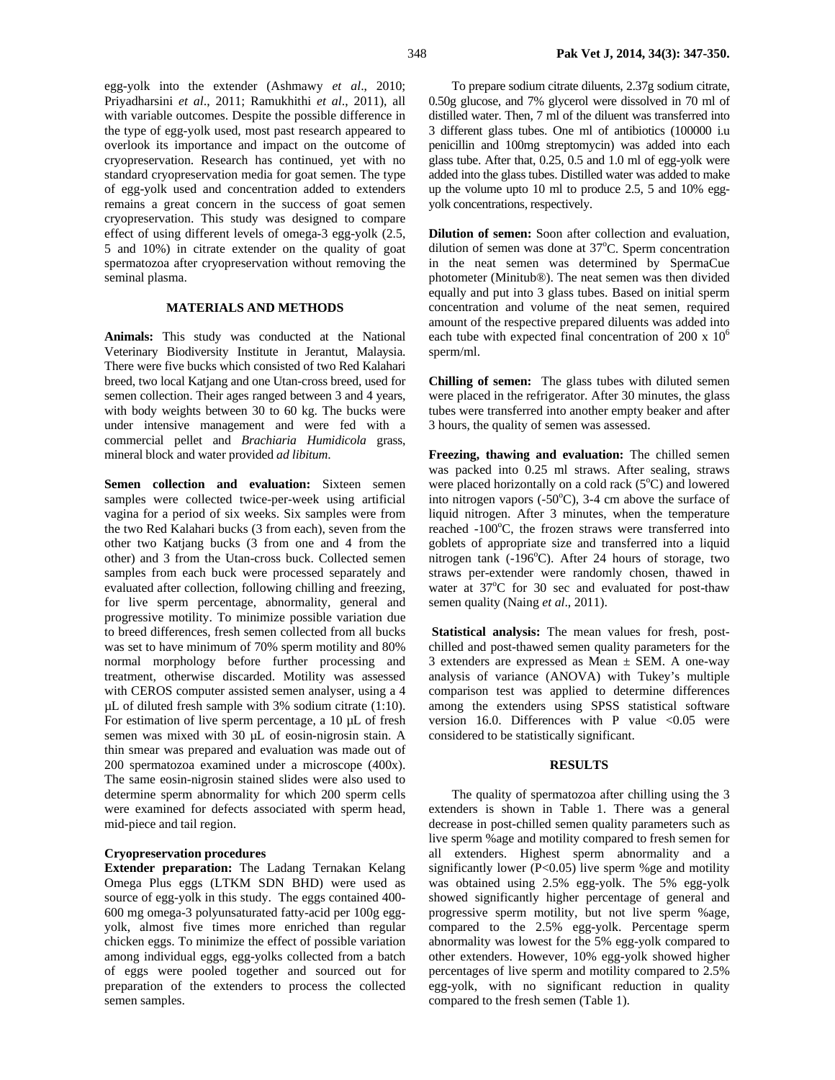egg-yolk into the extender (Ashmawy *et al*., 2010; Priyadharsini *et al*., 2011; Ramukhithi *et al*., 2011), all with variable outcomes. Despite the possible difference in the type of egg-yolk used, most past research appeared to overlook its importance and impact on the outcome of cryopreservation. Research has continued, yet with no standard cryopreservation media for goat semen. The type of egg-yolk used and concentration added to extenders remains a great concern in the success of goat semen cryopreservation. This study was designed to compare effect of using different levels of omega-3 egg-yolk (2.5, 5 and 10%) in citrate extender on the quality of goat spermatozoa after cryopreservation without removing the

### **MATERIALS AND METHODS**

seminal plasma.

**Animals:** This study was conducted at the National Veterinary Biodiversity Institute in Jerantut, Malaysia. There were five bucks which consisted of two Red Kalahari breed, two local Katjang and one Utan-cross breed, used for semen collection. Their ages ranged between 3 and 4 years, with body weights between 30 to 60 kg. The bucks were under intensive management and were fed with a commercial pellet and *Brachiaria Humidicola* grass, mineral block and water provided *ad libitum*.

**Semen collection and evaluation:** Sixteen semen samples were collected twice-per-week using artificial vagina for a period of six weeks. Six samples were from the two Red Kalahari bucks (3 from each), seven from the other two Katjang bucks (3 from one and 4 from the other) and 3 from the Utan-cross buck. Collected semen samples from each buck were processed separately and evaluated after collection, following chilling and freezing, for live sperm percentage, abnormality, general and progressive motility. To minimize possible variation due to breed differences, fresh semen collected from all bucks was set to have minimum of 70% sperm motility and 80% normal morphology before further processing and treatment, otherwise discarded. Motility was assessed with CEROS computer assisted semen analyser, using a 4 µL of diluted fresh sample with 3% sodium citrate (1:10). For estimation of live sperm percentage, a 10 µL of fresh semen was mixed with 30 µL of eosin-nigrosin stain. A thin smear was prepared and evaluation was made out of 200 spermatozoa examined under a microscope (400x). The same eosin-nigrosin stained slides were also used to determine sperm abnormality for which 200 sperm cells were examined for defects associated with sperm head, mid-piece and tail region.

## **Cryopreservation procedures**

**Extender preparation:** The Ladang Ternakan Kelang Omega Plus eggs (LTKM SDN BHD) were used as source of egg-yolk in this study. The eggs contained 400- 600 mg omega-3 polyunsaturated fatty-acid per 100g eggyolk, almost five times more enriched than regular chicken eggs. To minimize the effect of possible variation among individual eggs, egg-yolks collected from a batch of eggs were pooled together and sourced out for preparation of the extenders to process the collected semen samples.

To prepare sodium citrate diluents, 2.37g sodium citrate, 0.50g glucose, and 7% glycerol were dissolved in 70 ml of distilled water. Then, 7 ml of the diluent was transferred into 3 different glass tubes. One ml of antibiotics (100000 i.u penicillin and 100mg streptomycin) was added into each glass tube. After that, 0.25, 0.5 and 1.0 ml of egg-yolk were added into the glass tubes. Distilled water was added to make up the volume upto 10 ml to produce 2.5, 5 and 10% eggyolk concentrations, respectively.

**Dilution of semen:** Soon after collection and evaluation, dilution of semen was done at 37°C. Sperm concentration in the neat semen was determined by SpermaCue photometer (Minitub®). The neat semen was then divided equally and put into 3 glass tubes. Based on initial sperm concentration and volume of the neat semen, required amount of the respective prepared diluents was added into each tube with expected final concentration of 200 x  $10^6$ sperm/ml.

**Chilling of semen:** The glass tubes with diluted semen were placed in the refrigerator. After 30 minutes, the glass tubes were transferred into another empty beaker and after 3 hours, the quality of semen was assessed.

**Freezing, thawing and evaluation:** The chilled semen was packed into 0.25 ml straws. After sealing, straws were placed horizontally on a cold rack  $(5^{\circ}C)$  and lowered into nitrogen vapors  $(-50^{\circ}C)$ , 3-4 cm above the surface of liquid nitrogen. After 3 minutes, when the temperature reached -100°C, the frozen straws were transferred into goblets of appropriate size and transferred into a liquid nitrogen tank  $(-196^{\circ}C)$ . After 24 hours of storage, two straws per-extender were randomly chosen, thawed in water at 37°C for 30 sec and evaluated for post-thaw semen quality (Naing *et al*., 2011).

**Statistical analysis:** The mean values for fresh, postchilled and post-thawed semen quality parameters for the 3 extenders are expressed as Mean  $\pm$  SEM. A one-way analysis of variance (ANOVA) with Tukey's multiple comparison test was applied to determine differences among the extenders using SPSS statistical software version 16.0. Differences with P value  $< 0.05$  were considered to be statistically significant.

### **RESULTS**

The quality of spermatozoa after chilling using the 3 extenders is shown in Table 1. There was a general decrease in post-chilled semen quality parameters such as live sperm %age and motility compared to fresh semen for all extenders. Highest sperm abnormality and a significantly lower ( $P<0.05$ ) live sperm %ge and motility was obtained using 2.5% egg-yolk. The 5% egg-yolk showed significantly higher percentage of general and progressive sperm motility, but not live sperm %age, compared to the 2.5% egg-yolk. Percentage sperm abnormality was lowest for the 5% egg-yolk compared to other extenders. However, 10% egg-yolk showed higher percentages of live sperm and motility compared to 2.5% egg-yolk, with no significant reduction in quality compared to the fresh semen (Table 1).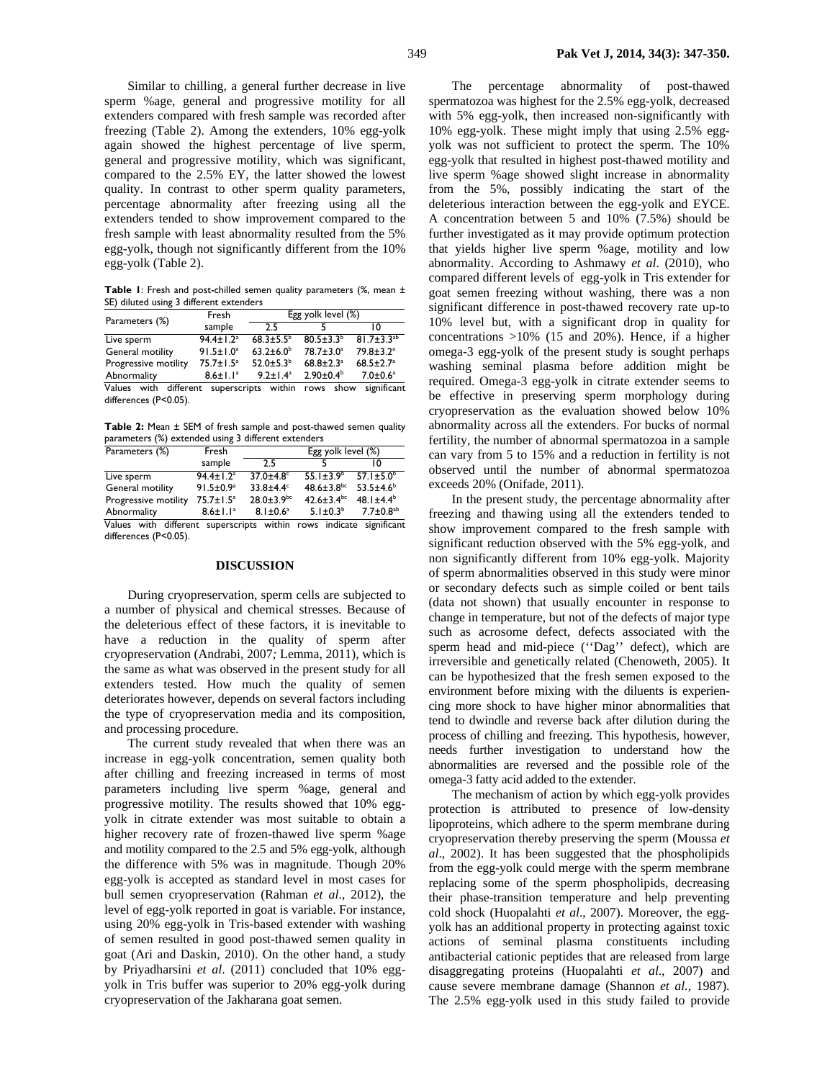Similar to chilling, a general further decrease in live sperm %age, general and progressive motility for all extenders compared with fresh sample was recorded after freezing (Table 2). Among the extenders, 10% egg-yolk again showed the highest percentage of live sperm, general and progressive motility, which was significant, compared to the 2.5% EY, the latter showed the lowest quality. In contrast to other sperm quality parameters, percentage abnormality after freezing using all the extenders tended to show improvement compared to the fresh sample with least abnormality resulted from the 5% egg-yolk, though not significantly different from the 10% egg-yolk (Table 2).

Table 1: Fresh and post-chilled semen quality parameters (%, mean ± SE) diluted using 3 different extenders

| Parameters (%)              | Fresh                       | Egg yolk level (%)       |                             |                             |  |  |  |
|-----------------------------|-----------------------------|--------------------------|-----------------------------|-----------------------------|--|--|--|
|                             | sample                      | 2.5                      |                             | 10                          |  |  |  |
| Live sperm                  | $94.4 \pm 1.2$ <sup>a</sup> | $68.3 \pm 5.5^{\circ}$   | $80.5 \pm 3.3^{b}$          | $81.7 \pm 3.3^{ab}$         |  |  |  |
| General motility            | $91.5 \pm 1.0^a$            | $63.2 \pm 6.0^b$         | $78.7 \pm 3.0^a$            | $79.8 \pm 3.2$ <sup>a</sup> |  |  |  |
| Progressive motility        | $75.7 \pm 1.5^a$            | $52.0 \pm 5.3^b$         | $68.8 \pm 2.3$ <sup>a</sup> | $68.5 \pm 2.7^a$            |  |  |  |
| Abnormality                 | $8.6 \pm 1.1^a$             | $9.2 \pm 1.4^a$          | $2.90 \pm 0.4^b$            | $7.0 \pm 0.6^a$             |  |  |  |
| with<br>different<br>Values |                             | superscripts within rows | show                        | significant                 |  |  |  |
| differences (P<0.05).       |                             |                          |                             |                             |  |  |  |

**Table 2:** Mean ± SEM of fresh sample and post-thawed semen quality parameters (%) extended using 3 different extenders

| parameters (76) exterioed using 5 units ent extenders               |                             |                    |                              |                             |  |  |
|---------------------------------------------------------------------|-----------------------------|--------------------|------------------------------|-----------------------------|--|--|
| Parameters (%)                                                      | Fresh                       | Egg yolk level (%) |                              |                             |  |  |
|                                                                     | sample                      | 2.5                |                              | ۱٨                          |  |  |
| Live sperm                                                          | $94.4 \pm 1.2$ <sup>a</sup> | $37.0 \pm 4.8$     | $55.1 \pm 3.9^b$             | $57.1 \pm 5.0^b$            |  |  |
| General motility                                                    | $91.5 \pm 0.9^a$            | $33.8 + 4.4^c$     | $48.6 \pm 3.8$ bc            | $53.5 \pm 4.6^b$            |  |  |
| Progressive motility                                                | $75.7 \pm 1.5^a$            | $28.0 \pm 3.9$ bc  | $42.6 \pm 3.4$ <sub>bc</sub> | 48.1 $\pm$ 4.4 <sup>b</sup> |  |  |
| Abnormality                                                         | $8.6 \pm 1.1^a$             | $8.1 \pm 0.6^a$    | 5.1 $\pm$ 0.3 <sup>b</sup>   | $7.7 \pm 0.8$ <sup>ab</sup> |  |  |
| Values with different superscripts within rows indicate significant |                             |                    |                              |                             |  |  |
| differences (P<0.05).                                               |                             |                    |                              |                             |  |  |

#### **DISCUSSION**

During cryopreservation, sperm cells are subjected to a number of physical and chemical stresses. Because of the deleterious effect of these factors, it is inevitable to have a reduction in the quality of sperm after cryopreservation (Andrabi, 2007*;* Lemma, 2011), which is the same as what was observed in the present study for all extenders tested. How much the quality of semen deteriorates however, depends on several factors including the type of cryopreservation media and its composition, and processing procedure.

The current study revealed that when there was an increase in egg-yolk concentration, semen quality both after chilling and freezing increased in terms of most parameters including live sperm %age, general and progressive motility. The results showed that 10% eggyolk in citrate extender was most suitable to obtain a higher recovery rate of frozen-thawed live sperm %age and motility compared to the 2.5 and 5% egg-yolk, although the difference with 5% was in magnitude. Though 20% egg-yolk is accepted as standard level in most cases for bull semen cryopreservation (Rahman *et al*., 2012), the level of egg-yolk reported in goat is variable. For instance, using 20% egg-yolk in Tris-based extender with washing of semen resulted in good post-thawed semen quality in goat (Ari and Daskin, 2010). On the other hand, a study by Priyadharsini *et al*. (2011) concluded that 10% eggyolk in Tris buffer was superior to 20% egg-yolk during cryopreservation of the Jakharana goat semen.

The percentage abnormality of post-thawed spermatozoa was highest for the 2.5% egg-yolk, decreased with 5% egg-yolk, then increased non-significantly with 10% egg-yolk. These might imply that using 2.5% eggyolk was not sufficient to protect the sperm. The 10% egg-yolk that resulted in highest post-thawed motility and live sperm %age showed slight increase in abnormality from the 5%, possibly indicating the start of the deleterious interaction between the egg-yolk and EYCE. A concentration between 5 and 10% (7.5%) should be further investigated as it may provide optimum protection that yields higher live sperm %age, motility and low abnormality. According to Ashmawy *et al*. (2010), who compared different levels of egg-yolk in Tris extender for goat semen freezing without washing, there was a non significant difference in post-thawed recovery rate up-to 10% level but, with a significant drop in quality for concentrations >10% (15 and 20%). Hence, if a higher omega-3 egg-yolk of the present study is sought perhaps washing seminal plasma before addition might be required. Omega-3 egg-yolk in citrate extender seems to be effective in preserving sperm morphology during cryopreservation as the evaluation showed below 10% abnormality across all the extenders. For bucks of normal fertility, the number of abnormal spermatozoa in a sample can vary from 5 to 15% and a reduction in fertility is not observed until the number of abnormal spermatozoa exceeds 20% (Onifade, 2011).

In the present study, the percentage abnormality after freezing and thawing using all the extenders tended to show improvement compared to the fresh sample with significant reduction observed with the 5% egg-yolk, and non significantly different from 10% egg-yolk. Majority of sperm abnormalities observed in this study were minor or secondary defects such as simple coiled or bent tails (data not shown) that usually encounter in response to change in temperature, but not of the defects of major type such as acrosome defect, defects associated with the sperm head and mid-piece (''Dag'' defect), which are irreversible and genetically related (Chenoweth, 2005). It can be hypothesized that the fresh semen exposed to the environment before mixing with the diluents is experiencing more shock to have higher minor abnormalities that tend to dwindle and reverse back after dilution during the process of chilling and freezing. This hypothesis, however, needs further investigation to understand how the abnormalities are reversed and the possible role of the omega-3 fatty acid added to the extender.

The mechanism of action by which egg-yolk provides protection is attributed to presence of low-density lipoproteins, which adhere to the sperm membrane during cryopreservation thereby preserving the sperm (Moussa *et al*., 2002). It has been suggested that the phospholipids from the egg-yolk could merge with the sperm membrane replacing some of the sperm phospholipids, decreasing their phase-transition temperature and help preventing cold shock (Huopalahti *et al*., 2007). Moreover, the eggyolk has an additional property in protecting against toxic actions of seminal plasma constituents including antibacterial cationic peptides that are released from large disaggregating proteins (Huopalahti *et al*., 2007) and cause severe membrane damage (Shannon *et al.,* 1987). The 2.5% egg-yolk used in this study failed to provide